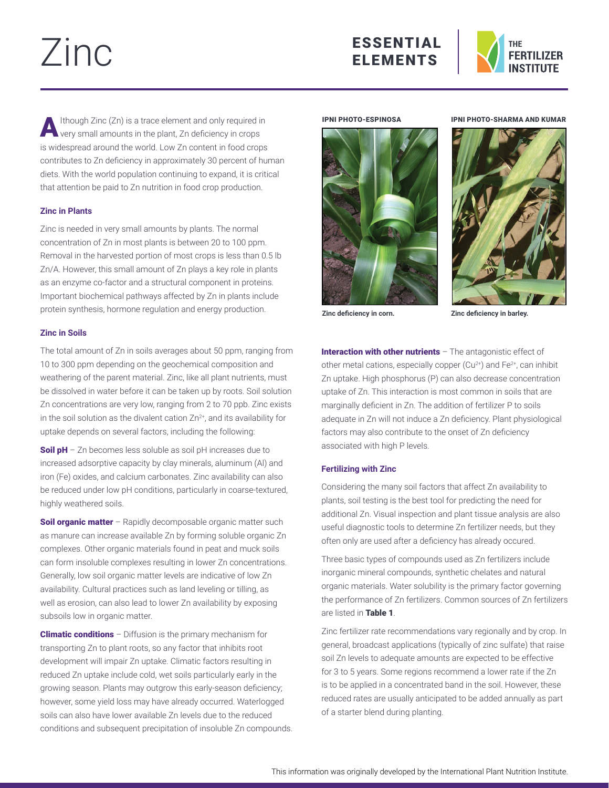# Zinc





 $\bigwedge$  Ithough Zinc (Zn) is a trace element and only required in very small amounts in the plant, Zn deficiency in crops is widespread around the world. Low Zn content in food crops contributes to Zn deficiency in approximately 30 percent of human diets. With the world population continuing to expand, it is critical that attention be paid to Zn nutrition in food crop production.

# **Zinc in Plants**

Zinc is needed in very small amounts by plants. The normal concentration of Zn in most plants is between 20 to 100 ppm. Removal in the harvested portion of most crops is less than 0.5 lb Zn/A. However, this small amount of Zn plays a key role in plants as an enzyme co-factor and a structural component in proteins. Important biochemical pathways affected by Zn in plants include protein synthesis, hormone regulation and energy production.

# **Zinc in Soils**

The total amount of Zn in soils averages about 50 ppm, ranging from 10 to 300 ppm depending on the geochemical composition and weathering of the parent material. Zinc, like all plant nutrients, must be dissolved in water before it can be taken up by roots. Soil solution Zn concentrations are very low, ranging from 2 to 70 ppb. Zinc exists in the soil solution as the divalent cation  $Zn^{2+}$ , and its availability for uptake depends on several factors, including the following:

Soil pH - Zn becomes less soluble as soil pH increases due to increased adsorptive capacity by clay minerals, aluminum (Al) and iron (Fe) oxides, and calcium carbonates. Zinc availability can also be reduced under low pH conditions, particularly in coarse-textured, highly weathered soils.

Soil organic matter - Rapidly decomposable organic matter such as manure can increase available Zn by forming soluble organic Zn complexes. Other organic materials found in peat and muck soils can form insoluble complexes resulting in lower Zn concentrations. Generally, low soil organic matter levels are indicative of low Zn availability. Cultural practices such as land leveling or tilling, as well as erosion, can also lead to lower Zn availability by exposing subsoils low in organic matter.

**Climatic conditions** – Diffusion is the primary mechanism for transporting Zn to plant roots, so any factor that inhibits root development will impair Zn uptake. Climatic factors resulting in reduced Zn uptake include cold, wet soils particularly early in the growing season. Plants may outgrow this early-season deficiency; however, some yield loss may have already occurred. Waterlogged soils can also have lower available Zn levels due to the reduced conditions and subsequent precipitation of insoluble Zn compounds.

### IPNI PHOTO-ESPINOSA



IPNI PHOTO-SHARMA AND KUMAR



**Zinc deficiency in corn.**

**Zinc deficiency in barley.**

Interaction with other nutrients  $-$  The antagonistic effect of other metal cations, especially copper  $(Cu^{2+})$  and  $Fe^{2+}$ , can inhibit Zn uptake. High phosphorus (P) can also decrease concentration uptake of Zn. This interaction is most common in soils that are marginally deficient in Zn. The addition of fertilizer P to soils adequate in Zn will not induce a Zn deficiency. Plant physiological factors may also contribute to the onset of Zn deficiency associated with high P levels.

## **Fertilizing with Zinc**

Considering the many soil factors that affect Zn availability to plants, soil testing is the best tool for predicting the need for additional Zn. Visual inspection and plant tissue analysis are also useful diagnostic tools to determine Zn fertilizer needs, but they often only are used after a deficiency has already occured.

Three basic types of compounds used as Zn fertilizers include inorganic mineral compounds, synthetic chelates and natural organic materials. Water solubility is the primary factor governing the performance of Zn fertilizers. Common sources of Zn fertilizers are listed in Table 1.

Zinc fertilizer rate recommendations vary regionally and by crop. In general, broadcast applications (typically of zinc sulfate) that raise soil Zn levels to adequate amounts are expected to be effective for 3 to 5 years. Some regions recommend a lower rate if the Zn is to be applied in a concentrated band in the soil. However, these reduced rates are usually anticipated to be added annually as part of a starter blend during planting.